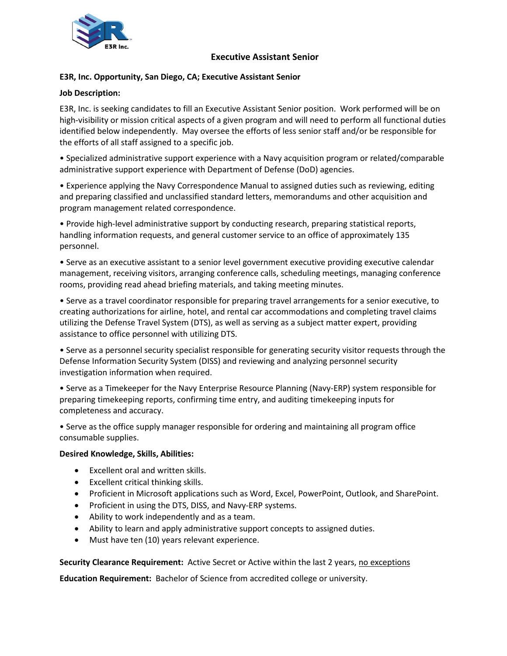

# **Executive Assistant Senior**

# **E3R, Inc. Opportunity, San Diego, CA; Executive Assistant Senior**

#### **Job Description:**

E3R, Inc. is seeking candidates to fill an Executive Assistant Senior position. Work performed will be on high-visibility or mission critical aspects of a given program and will need to perform all functional duties identified below independently. May oversee the efforts of less senior staff and/or be responsible for the efforts of all staff assigned to a specific job.

• Specialized administrative support experience with a Navy acquisition program or related/comparable administrative support experience with Department of Defense (DoD) agencies.

• Experience applying the Navy Correspondence Manual to assigned duties such as reviewing, editing and preparing classified and unclassified standard letters, memorandums and other acquisition and program management related correspondence.

• Provide high-level administrative support by conducting research, preparing statistical reports, handling information requests, and general customer service to an office of approximately 135 personnel.

• Serve as an executive assistant to a senior level government executive providing executive calendar management, receiving visitors, arranging conference calls, scheduling meetings, managing conference rooms, providing read ahead briefing materials, and taking meeting minutes.

• Serve as a travel coordinator responsible for preparing travel arrangements for a senior executive, to creating authorizations for airline, hotel, and rental car accommodations and completing travel claims utilizing the Defense Travel System (DTS), as well as serving as a subject matter expert, providing assistance to office personnel with utilizing DTS.

• Serve as a personnel security specialist responsible for generating security visitor requests through the Defense Information Security System (DISS) and reviewing and analyzing personnel security investigation information when required.

• Serve as a Timekeeper for the Navy Enterprise Resource Planning (Navy-ERP) system responsible for preparing timekeeping reports, confirming time entry, and auditing timekeeping inputs for completeness and accuracy.

• Serve as the office supply manager responsible for ordering and maintaining all program office consumable supplies.

#### **Desired Knowledge, Skills, Abilities:**

- Excellent oral and written skills.
- Excellent critical thinking skills.
- Proficient in Microsoft applications such as Word, Excel, PowerPoint, Outlook, and SharePoint.
- Proficient in using the DTS, DISS, and Navy-ERP systems.
- Ability to work independently and as a team.
- Ability to learn and apply administrative support concepts to assigned duties.
- Must have ten (10) years relevant experience.

Security Clearance Requirement: Active Secret or Active within the last 2 years, no exceptions

**Education Requirement:** Bachelor of Science from accredited college or university.